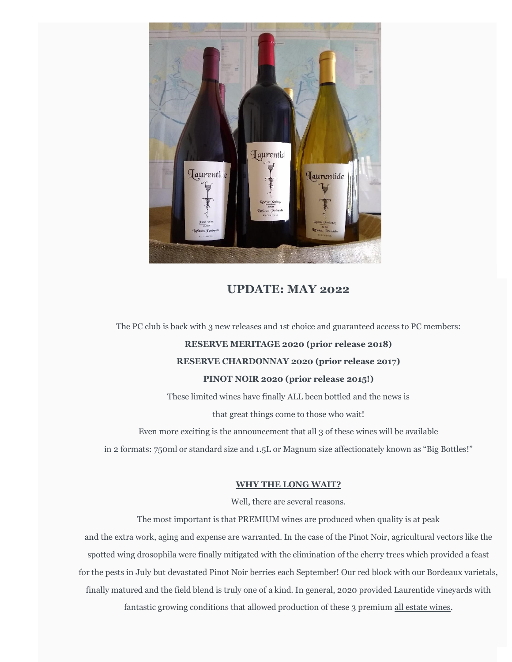

## **UPDATE: MAY 2022**

The PC club is back with 3 new releases and 1st choice and guaranteed access to PC members:

## **RESERVE MERITAGE 2020 (prior release 2018)**

## **RESERVE CHARDONNAY 2020 (prior release 2017)**

### **PINOT NOIR 2020 (prior release 2015!)**

These limited wines have finally ALL been bottled and the news is

that great things come to those who wait!

Even more exciting is the announcement that all 3 of these wines will be available

in 2 formats: 750ml or standard size and 1.5L or Magnum size affectionately known as "Big Bottles!"

### **WHY THE LONG WAIT?**

Well, there are several reasons.

The most important is that PREMIUM wines are produced when quality is at peak and the extra work, aging and expense are warranted. In the case of the Pinot Noir, agricultural vectors like the spotted wing drosophila were finally mitigated with the elimination of the cherry trees which provided a feast for the pests in July but devastated Pinot Noir berries each September! Our red block with our Bordeaux varietals, finally matured and the field blend is truly one of a kind. In general, 2020 provided Laurentide vineyards with fantastic growing conditions that allowed production of these 3 premium all estate wines.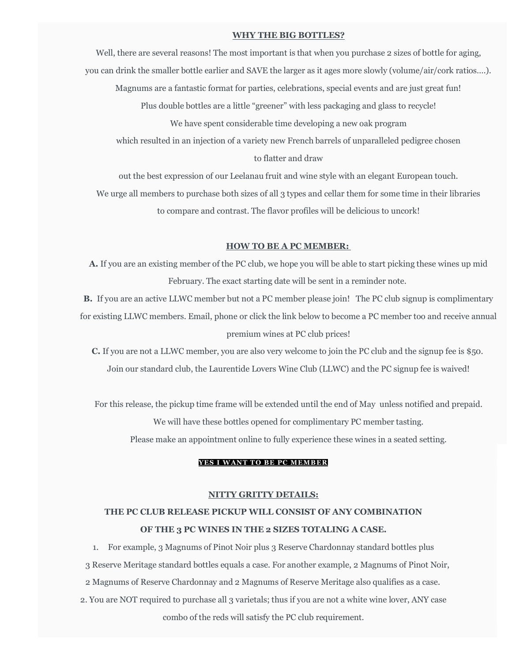#### **WHY THE BIG BOTTLES?**

Well, there are several reasons! The most important is that when you purchase 2 sizes of bottle for aging, you can drink the smaller bottle earlier and SAVE the larger as it ages more slowly (volume/air/cork ratios….). Magnums are a fantastic format for parties, celebrations, special events and are just great fun! Plus double bottles are a little "greener" with less packaging and glass to recycle! We have spent considerable time developing a new oak program which resulted in an injection of a variety new French barrels of unparalleled pedigree chosen to flatter and draw

out the best expression of our Leelanau fruit and wine style with an elegant European touch.

We urge all members to purchase both sizes of all 3 types and cellar them for some time in their libraries to compare and contrast. The flavor profiles will be delicious to uncork!

#### **HOW TO BE A PC MEMBER:**

**A.** If you are an existing member of the PC club, we hope you will be able to start picking these wines up mid February. The exact starting date will be sent in a reminder note.

**B.** If you are an active LLWC member but not a PC member please join! The PC club signup is complimentary for existing LLWC members. Email, phone or click the link below to become a PC member too and receive annual premium wines at PC club prices!

**C.** If you are not a LLWC member, you are also very welcome to join the PC club and the signup fee is \$50. Join our standard club, the Laurentide Lovers Wine Club (LLWC) and the PC signup fee is waived!

For this release, the pickup time frame will be extended until the end of May unless notified and prepaid. We will have these bottles opened for complimentary PC member tasting. Please make an appointment online to fully experience these wines in a seated setting.

## **YES I WANT TO BE PC MEMBER**

#### **NITTY GRITTY DETAILS:**

# **THE PC CLUB RELEASE PICKUP WILL CONSIST OF ANY COMBINATION OF THE 3 PC WINES IN THE 2 SIZES TOTALING A CASE.**

1. For example, 3 Magnums of Pinot Noir plus 3 Reserve Chardonnay standard bottles plus 3 Reserve Meritage standard bottles equals a case. For another example, 2 Magnums of Pinot Noir, 2 Magnums of Reserve Chardonnay and 2 Magnums of Reserve Meritage also qualifies as a case.

2. You are NOT required to purchase all 3 varietals; thus if you are not a white wine lover, ANY case combo of the reds will satisfy the PC club requirement.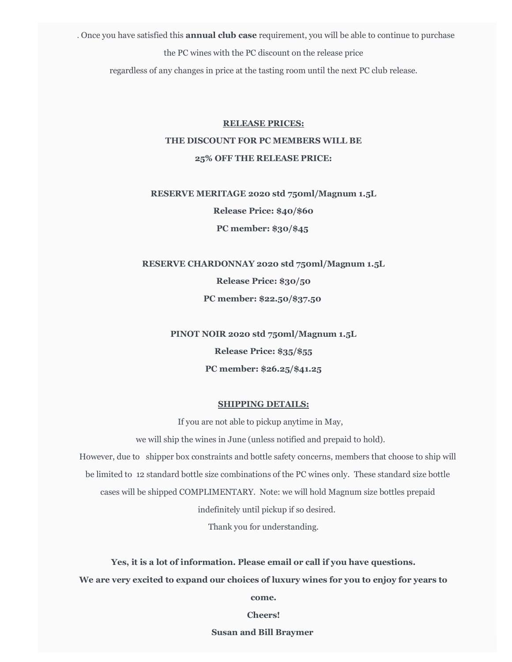3. Once you have satisfied this **annual club case** requirement, you will be able to continue to purchase the PC wines with the PC discount on the release price

regardless of any changes in price at the tasting room until the next PC club release.

# **RELEASE PRICES: THE DISCOUNT FOR PC MEMBERS WILL BE 25% OFF THE RELEASE PRICE:**

**RESERVE MERITAGE 2020 std 750ml/Magnum 1.5L Release Price: \$40/\$60 PC member: \$30/\$45**

**RESERVE CHARDONNAY 2020 std 750ml/Magnum 1.5L Release Price: \$30/50**

**PC member: \$22.50/\$37.50**

**PINOT NOIR 2020 std 750ml/Magnum 1.5L Release Price: \$35/\$55 PC member: \$26.25/\$41.25**

## **SHIPPING DETAILS:**

If you are not able to pickup anytime in May,

we will ship the wines in June (unless notified and prepaid to hold).

However, due to shipper box constraints and bottle safety concerns, members that choose to ship will

be limited to 12 standard bottle size combinations of the PC wines only. These standard size bottle

cases will be shipped COMPLIMENTARY. Note: we will hold Magnum size bottles prepaid

indefinitely until pickup if so desired.

Thank you for understanding.

**Yes, it is a lot of information. Please email or call if you have questions.**

**We are very excited to expand our choices of luxury wines for you to enjoy for years to** 

**come.**

**Cheers!**

**Susan and Bill Braymer**